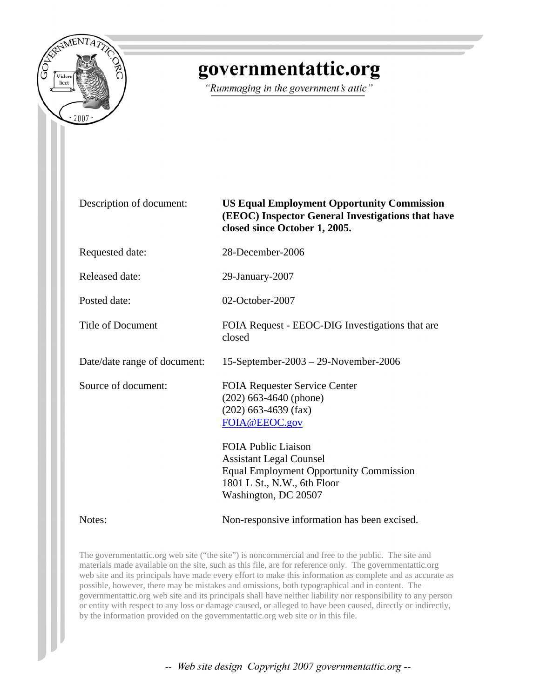

# governmentattic.org

"Rummaging in the government's attic"

Description of document: **US Equal Employment Opportunity Commission (EEOC) Inspector General Investigations that have closed since October 1, 2005.** 

Requested date: 28-December-2006

Released date: 29-January-2007

closed

Posted date: 02-October-2007

Title of Document FOIA Request - EEOC-DIG Investigations that are

Date/date range of document: 15-September-2003 – 29-November-2006

Source of document: FOIA Requester Service Center

Notes: Non-responsive information has been excised.

Equal Employment Opportunity Commission

The governmentattic.org web site ("the site") is noncommercial and free to the public. The site and materials made available on the site, such as this file, are for reference only. The governmentattic.org web site and its principals have made every effort to make this information as complete and as accurate as possible, however, there may be mistakes and omissions, both typographical and in content. The governmentattic.org web site and its principals shall have neither liability nor responsibility to any person or entity with respect to any loss or damage caused, or alleged to have been caused, directly or indirectly, by the information provided on the governmentattic.org web site or in this file.

(202) 663-4640 (phone) (202) 663-4639 (fax) [FOIA@EEOC.gov](mailto:foia@eeoc.gov)

FOIA Public Liaison Assistant Legal Counsel

1801 L St., N.W., 6th Floor Washington, DC 20507

-- Web site design Copyright 2007 governmentattic.org --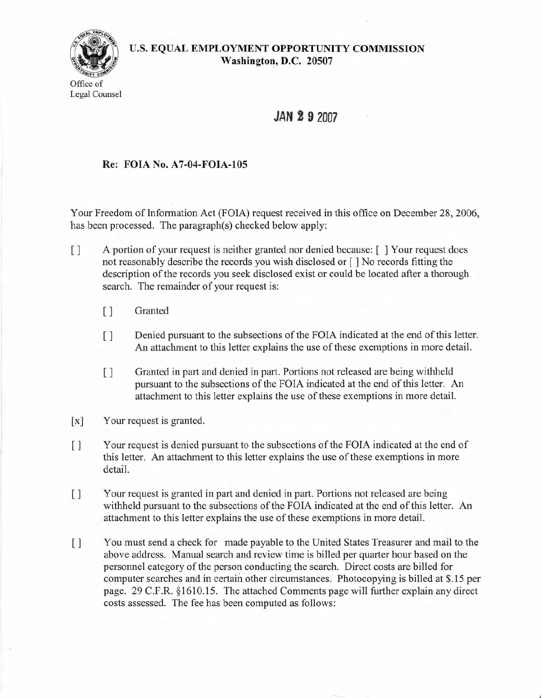

### **U.S. EQUAL EMPLOYMENT OPPORTUNITY COMMISSION Washington, D.C. 20507**

## **JAN 2 9 2007**

### **Re: FOIA No. A7-04-FOIA-I05**

Your Freedom of Information Act (FOIA) request received in this office on December 28, 2006, has been processed. The paragraph(s) checked below apply:

- [ ] A portion of your request is neither granted nor denied because: [ ] Your request does not reasonably describe the records you wish disclosed or [ ] No records fitting the description of the records you seek disclosed exist or could be located after a thorough search. The remainder of your request is:
	- [ ] Granted
	- [ ] Denied pursuant to the subsections of the FOIA indicated at the end of this letter. An attachment to this letter explains the use of these exemptions in more detail.
	- [ ] Granted in part and denied in part. Portions not released are being withheld pursuant to the subsections of the FOIA indicated at the end of this letter. An attachment to this letter explains the use of these exemptions in more detail.
- [x] Your request is granted.
- [ ] Your request is denied pursuant to the subsections of the FOIA indicated at the end of this letter. An attachment to this letter explains the use of these exemptions in more detail.
- [ ] Your request is granted in part and denied in part. Portions not released are being withheld pursuant to the subsections of the FOIA indicated at the end of this letter. An attachment to this letter explains the use of these exemptions in more detail.
- [ ] You must send a check for made payable to the United States Treasurer and mail to the above address. Manual search and review time is billed per quarter hour based on the personnel category of the person conducting the search. Direct costs are billed for computer searches and in certain other circumstances. Photocopying is billed at \$.15 per page. 29 C.F.R. §1610.15. The attached Comments page will further explain any direct costs assessed. The fee has been computed as follows: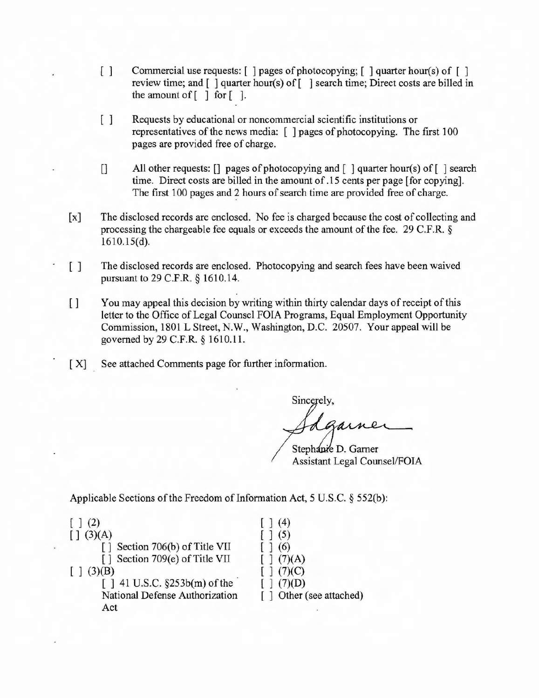- [] Commercial use requests: [ ] pages of photocopying; [ ] quarter hour(s) of [ ] review time; and  $\lceil \cdot \rceil$  quarter hour(s) of  $\lceil \cdot \rceil$  search time; Direct costs are billed in the amount of  $\lceil \cdot \rceil$  for  $\lceil \cdot \rceil$ .
- [] Requests by educational or noncommercial scientific institutions or representatives of the news media:  $\lceil \ \rceil$  pages of photocopying. The first 100 pages are provided free of charge.
- [] All other requests: [] pages of photocopying and [ ] quarter hour(s) of[ ] search time. Direct costs are billed in the amount of.15 cents per page [for copying]. The first 100 pages and 2 hours of search time are provided free of charge.
- [x] The disclosed records are enclosed. No fee is charged because the cost of collecting and processing the chargeable fee equals or exceeds the amount of the fee.  $29 \text{ C.F.R.}$  § 161O.15(d).
- [] The disclosed records are enclosed. Photocopying and search fees have been waived pursuant to 29 C.F.R. § 1610.14.
- [ ] You may appeal this decision by writing within thirty calendar days of receipt of this letter to the Office of Legal Counsel FOIA Programs, Equal Employment Opportunity Commission, 1801 L Street, N.W., Washington, D.C. 20507. Your appeal will be governed by 29 C.F.R. § 1610.11.
- [X] See attached Comments page for further information.

Sincerely,

Stephanie D. Garner **Assistant Legal Counsel/FOIA** 

Applicable Sections of the Freedom of Information Act, 5 U.S.C.  $\S$  552(b):

| (3)(A)<br>ſ1                    |                         |
|---------------------------------|-------------------------|
| [] Section 706(b) of Title VII  |                         |
| [] Section 709(e) of Title VII  | [1 (7)(A)]              |
| 3)(B)                           | (7)(C)                  |
| $[ ] 41$ U.S.C. §253b(m) of the | (7)(D)                  |
| National Defense Authorization  | [] Other (see attached) |
| Act                             |                         |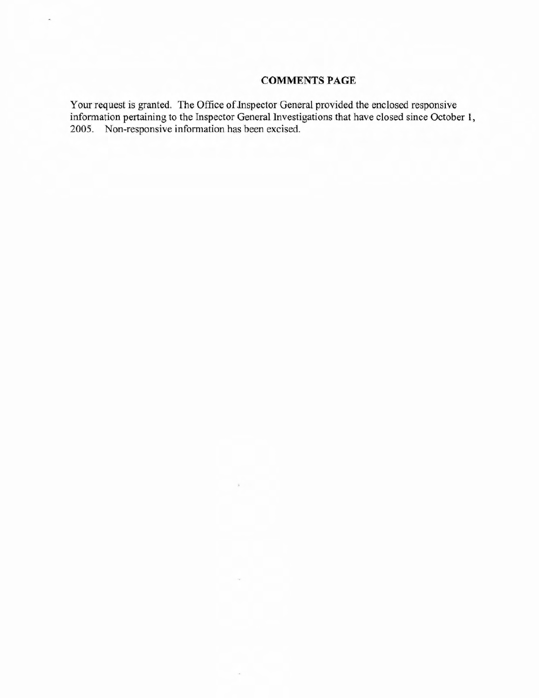### **COMMENTS PAGE**

Your request is granted. The Office of Inspector General provided the enclosed responsive information pertaining to the Inspector General Investigations that have closed since October 1, 2005. Non-responsive information has been excised.

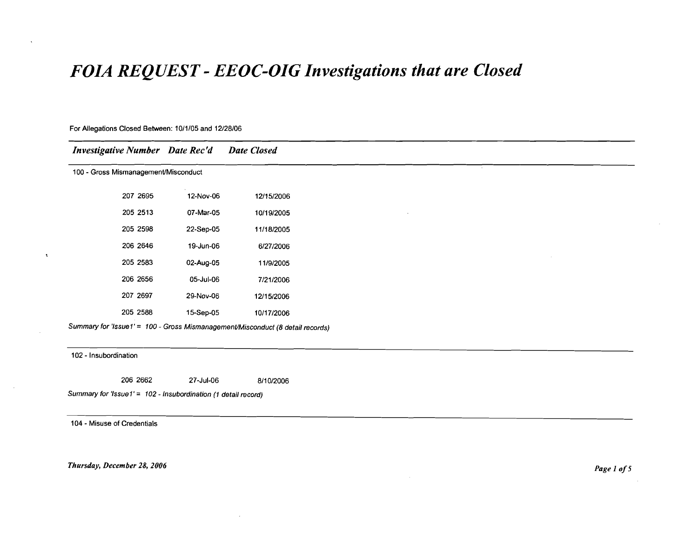## *FOIA REQUEST* **-** *EEOC-DIG Investigations that are Closed*

#### For Allegations Closed Between: 10/1/05 and 12128/06

| <b>Investigative Number</b> Date Rec'd |           | <b>Date Closed</b> |
|----------------------------------------|-----------|--------------------|
| 100 - Gross Mismanagement/Misconduct   |           |                    |
| 207 2695                               | 12-Nov-06 | 12/15/2006         |
| 205 2513                               | 07-Mar-05 | 10/19/2005         |
| 205 2598                               | 22-Sep-05 | 11/18/2005         |
| 206 2646                               | 19-Jun-06 | 6/27/2006          |
| 205 2583                               | 02-Aug-05 | 11/9/2005          |
| 206 2656                               | 05-Jul-06 | 7/21/2006          |
| 207 2697                               | 29-Nov-06 | 12/15/2006         |
| 205 2588                               | 15-Sep-05 | 10/17/2006         |

102 - Insubordination

 $\Lambda$ 

206 2662 27-Jul-06 8/10/2006

Summary for 'Issue  $1' = 102$  - Insubordination (1 detail record)

104 - Misuse of Credentials

*Thursday, December* 28, *<sup>2006</sup> Page <sup>1</sup> 0/5*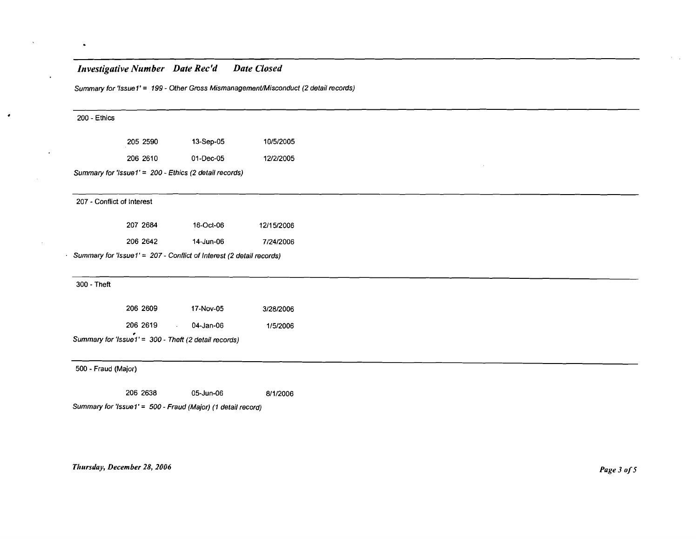### *Investigative Number Date Rec'd Date Closed*

 $\bullet$ 

 $\ddot{\phantom{1}}$ 

 $\bullet$ 

Summary for 'Issue 1' = 199 - Other Gross Mismanagement/Misconduct (2 detail records)

| 200 - Ethics               |          |                                                                      |            |
|----------------------------|----------|----------------------------------------------------------------------|------------|
|                            | 205 2590 | 13-Sep-05                                                            | 10/5/2005  |
|                            | 206 2610 | 01-Dec-05                                                            | 12/2/2005  |
|                            |          | Summary for 'Issue1' = 200 - Ethics (2 detail records)               |            |
| 207 - Conflict of Interest |          |                                                                      |            |
|                            | 207 2684 | 16-Oct-06                                                            | 12/15/2006 |
|                            | 206 2642 | 14-Jun-06                                                            | 7/24/2006  |
|                            |          | Summary for 'Issue1' = 207 - Conflict of Interest (2 detail records) |            |
|                            |          |                                                                      |            |
| 300 - Theft                |          |                                                                      |            |
|                            | 206 2609 | 17-Nov-05                                                            | 3/28/2006  |
|                            | 206 2619 | 04-Jan-06<br>$\mathcal{L}_{\rm{max}}$                                | 1/5/2006   |
|                            |          | Summary for 'Issue1' = 300 - Theft (2 detail records)                |            |
|                            |          |                                                                      |            |
| 500 - Fraud (Major)        |          |                                                                      |            |
|                            | 206 2638 | 05-Jun-06                                                            | 8/1/2006   |
|                            |          | Summary for 'Issue1' = 500 - Fraud (Major) (1 detail record)         |            |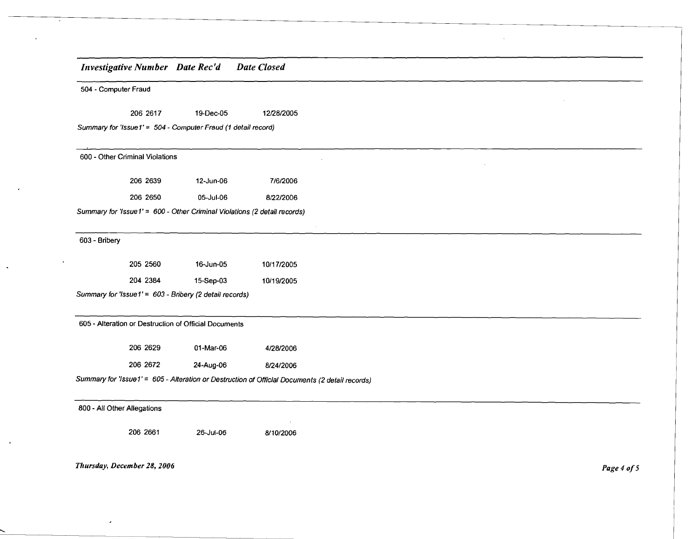## *Illvestigative Number Date Rec'd* 504 - Computer Fraud *Date Closed* 206 2617 19-Dec-05 12128/2005 Summary for 'Issue1' = 504 - Computer Fraud (1 detail record) 600 - Other Criminal Violations 206 2639 12-Jun-06 7/612006 206 2650 05-Jul-06 8/2212006 Summary for 'Issue 1' = 600 - Other Criminal Violations (2 detail records) 603 - Bribery 205 2560 16-Jun-05 10/17/2005 204 2384 15-Sep-03 10/19/2005 Summary for 'Issue1' = 603 - Bribery (2 detail records) 605 - Alteration or Destruction of Official Documents 206 2629 01-Mar-06 4/28/2006 206 2672 24-Aug-06 8/24/2006 Summary for 'Issue1' = 605 - Alteration or Destruction of Official Documents (2 detail records) 800 - All Other Allegations

2062661 26-Jul-06 811012006

*Thursday, December* 28, *2006*

*Page* 4 *0/5*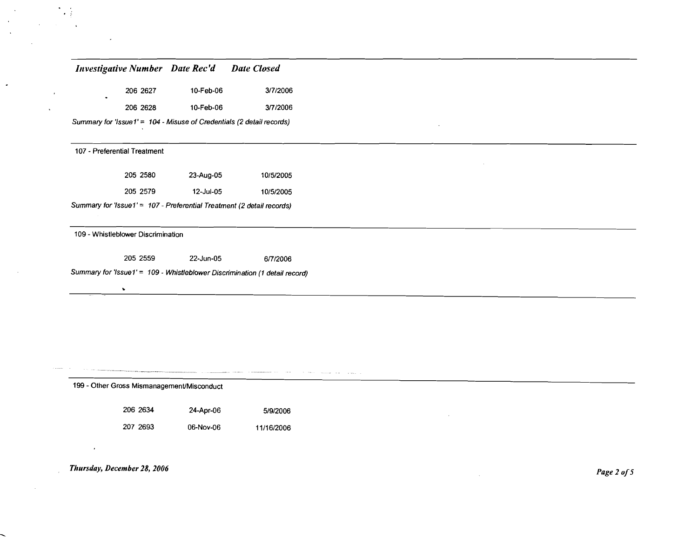#### *Investigative Number Date Rec'd Date Closed*

| 206 2627 | 10-Feb-06 | 3/7/2006 |
|----------|-----------|----------|
| 206 2628 | 10-Feb-06 | 3/7/2006 |

Summary for 'Issue 1' = 104 - Misuse of Credentials (2 detail records)

#### 107 - Preferential Treatment

 $\mathbf{L}$ 

 $\ddot{\phantom{a}}$ 

 $\mathcal{A}$ 

| 205 2580 | 23-Aug-05 | 10/5/2005 |
|----------|-----------|-----------|
| 205 2579 | 12-Jul-05 | 10/5/2005 |

Summary for 'Issue1' = 107 - Preferential Treatment (2 detail records)

109 - WhistlebJower Discrimination

 $\mathbf{v}$ 

205 2559 22-Jun-05 617/2006

<u> 1980 - John Barnett, fransk politiker (d. 1980)</u>

- Soome was a page

Summary for 'Issue  $1' = 109$  - Whistleblower Discrimination (1 detail record)

199 - Other Gross Mismanagement/Misconduct

2062634 24-Apr-06 5/9/2006

207 2693 06-Nov-06 11/16/2006

*Thursday, December* 28, *2006*

 $\sim$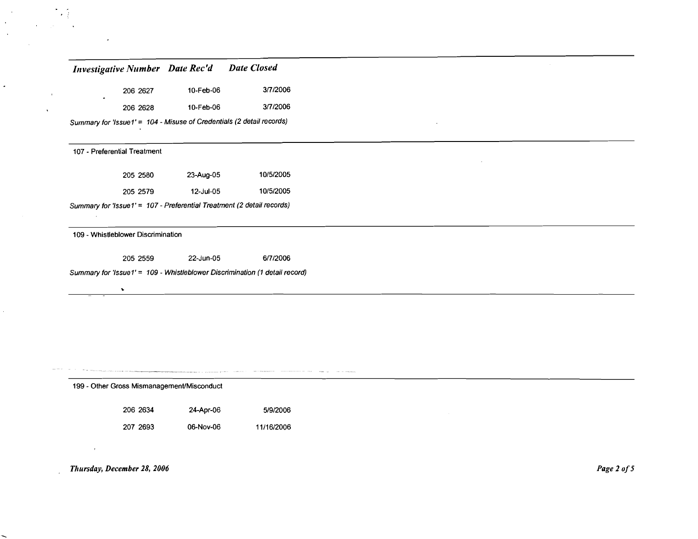| <b>Investigative Number</b> Date Rec'd |  | <b>Date Closed</b> |
|----------------------------------------|--|--------------------|
|----------------------------------------|--|--------------------|

| 206 2627 | 10-Feb-06 | 3/7/2006 |
|----------|-----------|----------|
| 206 2628 | 10-Feb-06 | 3/7/2006 |

Summary for 'lssue1' = 104 - Misuse of Credentials (2 detail records)

#### 107 - Preferential Treatment

 $\sim$ 

 $\overline{a}$ 

 $\overline{a}$ 

 $\mathcal{L}$ 

| 205 2580                                                               | 23-Aug-05 | 10/5/2005 |  |
|------------------------------------------------------------------------|-----------|-----------|--|
| 205 2579                                                               | 12-Jul-05 | 10/5/2005 |  |
| Summary for 'Issue1' = 107 - Preferential Treatment (2 detail records) |           |           |  |

#### 109 - Whistleblower Discrimination

 $\mathbf{v}$ 

205 2559 22-Jun-05 *6n12006*

Summary for 'lssue1' = 109 - Whistleblower Discrimination (1 detail record)

199 - Other Gross Mismanagement/Misconduct

206 2634 24-Apr-06 *5/9/2006*

207 2693 06-Nov-06 *11116/2006*

*Thursday, December* 28, *2006*

 $\mathbf{r}$